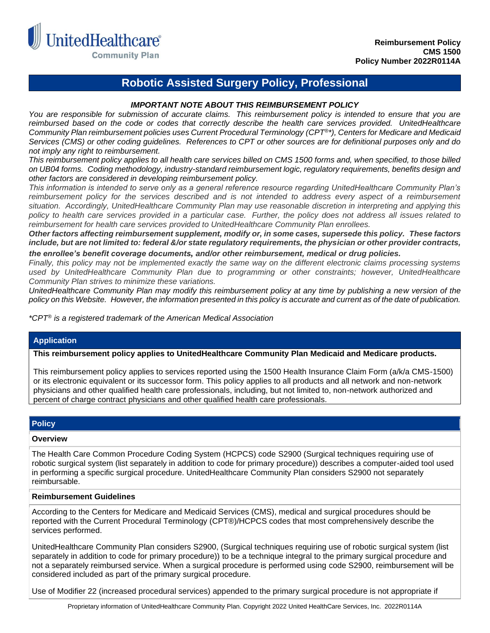

# **Robotic Assisted Surgery Policy, Professional**

## *IMPORTANT NOTE ABOUT THIS REIMBURSEMENT POLICY*

*You are responsible for submission of accurate claims. This reimbursement policy is intended to ensure that you are reimbursed based on the code or codes that correctly describe the health care services provided. UnitedHealthcare Community Plan reimbursement policies uses Current Procedural Terminology (CPT®\*), Centers for Medicare and Medicaid Services (CMS) or other coding guidelines. References to CPT or other sources are for definitional purposes only and do not imply any right to reimbursement.*

*This reimbursement policy applies to all health care services billed on CMS 1500 forms and, when specified, to those billed on UB04 forms. Coding methodology, industry-standard reimbursement logic, regulatory requirements, benefits design and other factors are considered in developing reimbursement policy.*

*This information is intended to serve only as a general reference resource regarding UnitedHealthcare Community Plan's*  reimbursement policy for the services described and is not intended to address every aspect of a reimbursement *situation. Accordingly, UnitedHealthcare Community Plan may use reasonable discretion in interpreting and applying this policy to health care services provided in a particular case. Further, the policy does not address all issues related to reimbursement for health care services provided to UnitedHealthcare Community Plan enrollees.* 

*Other factors affecting reimbursement supplement, modify or, in some cases, supersede this policy. These factors include, but are not limited to: federal &/or state regulatory requirements, the physician or other provider contracts, the enrollee's benefit coverage documents, and/or other reimbursement, medical or drug policies.*

*Finally, this policy may not be implemented exactly the same way on the different electronic claims processing systems used by UnitedHealthcare Community Plan due to programming or other constraints; however, UnitedHealthcare Community Plan strives to minimize these variations.*

*UnitedHealthcare Community Plan may modify this reimbursement policy at any time by publishing a new version of the policy on this Website. However, the information presented in this policy is accurate and current as of the date of publication.*

*\*CPT® is a registered trademark of the American Medical Association*

### **Application**

## **This reimbursement policy applies to UnitedHealthcare Community Plan Medicaid and Medicare products.**

This reimbursement policy applies to services reported using the 1500 Health Insurance Claim Form (a/k/a CMS-1500) or its electronic equivalent or its successor form. This policy applies to all products and all network and non-network physicians and other qualified health care professionals, including, but not limited to, non-network authorized and percent of charge contract physicians and other qualified health care professionals.

### **Policy**

#### **Overview**

The Health Care Common Procedure Coding System (HCPCS) code S2900 (Surgical techniques requiring use of robotic surgical system (list separately in addition to code for primary procedure)) describes a computer-aided tool used in performing a specific surgical procedure. UnitedHealthcare Community Plan considers S2900 not separately reimbursable.

### **Reimbursement Guidelines**

According to the Centers for Medicare and Medicaid Services (CMS), medical and surgical procedures should be reported with the Current Procedural Terminology (CPT®)/HCPCS codes that most comprehensively describe the services performed.

UnitedHealthcare Community Plan considers S2900, (Surgical techniques requiring use of robotic surgical system (list separately in addition to code for primary procedure)) to be a technique integral to the primary surgical procedure and not a separately reimbursed service. When a surgical procedure is performed using code S2900, reimbursement will be considered included as part of the primary surgical procedure.

Use of Modifier 22 (increased procedural services) appended to the primary surgical procedure is not appropriate if